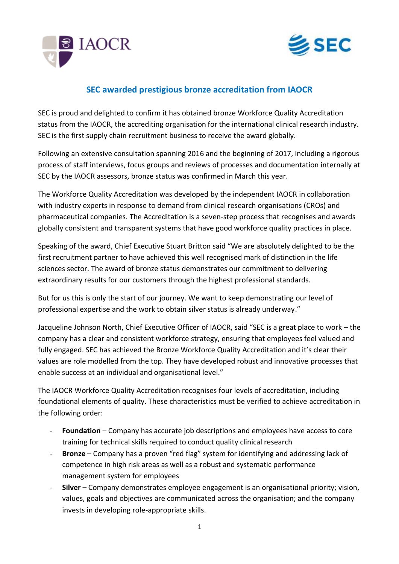



## **SEC awarded prestigious bronze accreditation from IAOCR**

SEC is proud and delighted to confirm it has obtained bronze Workforce Quality Accreditation status from the IAOCR, the accrediting organisation for the international clinical research industry. SEC is the first supply chain recruitment business to receive the award globally.

Following an extensive consultation spanning 2016 and the beginning of 2017, including a rigorous process of staff interviews, focus groups and reviews of processes and documentation internally at SEC by the IAOCR assessors, bronze status was confirmed in March this year.

The Workforce Quality Accreditation was developed by the independent IAOCR in collaboration with industry experts in response to demand from clinical research organisations (CROs) and pharmaceutical companies. The Accreditation is a seven-step process that recognises and awards globally consistent and transparent systems that have good workforce quality practices in place.

Speaking of the award, Chief Executive Stuart Britton said "We are absolutely delighted to be the first recruitment partner to have achieved this well recognised mark of distinction in the life sciences sector. The award of bronze status demonstrates our commitment to delivering extraordinary results for our customers through the highest professional standards.

But for us this is only the start of our journey. We want to keep demonstrating our level of professional expertise and the work to obtain silver status is already underway."

Jacqueline Johnson North, Chief Executive Officer of IAOCR, said "SEC is a great place to work – the company has a clear and consistent workforce strategy, ensuring that employees feel valued and fully engaged. SEC has achieved the Bronze Workforce Quality Accreditation and it's clear their values are role modelled from the top. They have developed robust and innovative processes that enable success at an individual and organisational level."

The IAOCR Workforce Quality Accreditation recognises four levels of accreditation, including foundational elements of quality. These characteristics must be verified to achieve accreditation in the following order:

- **Foundation** Company has accurate job descriptions and employees have access to core training for technical skills required to conduct quality clinical research
- **Bronze** Company has a proven "red flag" system for identifying and addressing lack of competence in high risk areas as well as a robust and systematic performance management system for employees
- **Silver** Company demonstrates employee engagement is an organisational priority; vision, values, goals and objectives are communicated across the organisation; and the company invests in developing role-appropriate skills.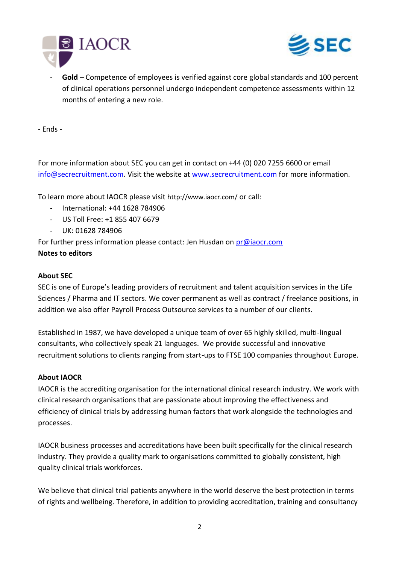



Gold – Competence of employees is verified against core global standards and 100 percent of clinical operations personnel undergo independent competence assessments within 12 months of entering a new role.

- Ends -

For more information about SEC you can get in contact on +44 (0) 020 7255 6600 or email [info@secrecruitment.com.](mailto:info@secrecruitment.com) Visit the website at [www.secrecruitment.com](http://www.secrecruitment.com/) for more information.

To learn more about IAOCR please visit <http://www.iaocr.com/> or call:

- International: +44 1628 784906
- US Toll Free: +1 855 407 6679
- UK: 01628 784906

For further press information please contact: Jen Husdan on [pr@iaocr.com](mailto:pr@iaocr.com?subject=Workforce%20Quality%20Accreditation%20-%20further%20information)

## **Notes to editors**

## **About SEC**

SEC is one of Europe's leading providers of recruitment and talent acquisition services in the Life Sciences / Pharma and IT sectors. We cover permanent as well as contract / freelance positions, in addition we also offer Payroll Process Outsource services to a number of our clients.

Established in 1987, we have developed a unique team of over 65 highly skilled, multi-lingual consultants, who collectively speak 21 languages. We provide successful and innovative recruitment solutions to clients ranging from start-ups to FTSE 100 companies throughout Europe.

## **About IAOCR**

IAOCR is the accrediting organisation for the international clinical research industry. We work with clinical research organisations that are passionate about improving the effectiveness and efficiency of clinical trials by addressing human factors that work alongside the technologies and processes.

IAOCR business processes and accreditations have been built specifically for the clinical research industry. They provide a quality mark to organisations committed to globally consistent, high quality clinical trials workforces.

We believe that clinical trial patients anywhere in the world deserve the best protection in terms of rights and wellbeing. Therefore, in addition to providing accreditation, training and consultancy